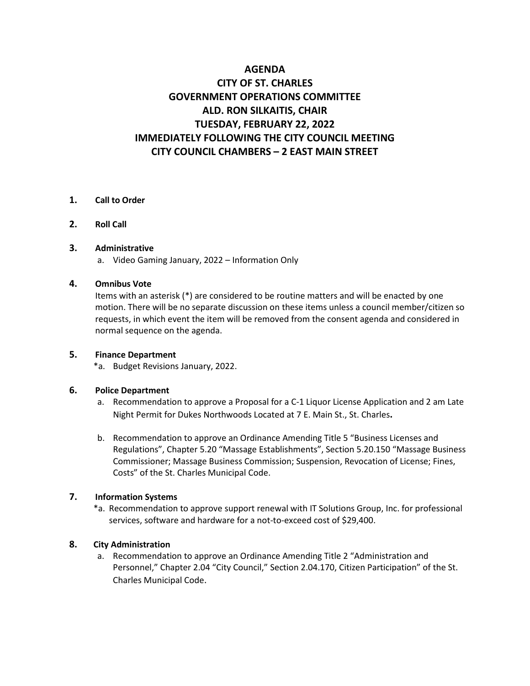## **AGENDA**

# **CITY OF ST. CHARLES GOVERNMENT OPERATIONS COMMITTEE ALD. RON SILKAITIS, CHAIR TUESDAY, FEBRUARY 22, 2022 IMMEDIATELY FOLLOWING THE CITY COUNCIL MEETING CITY COUNCIL CHAMBERS – 2 EAST MAIN STREET**

### **1. Call to Order**

**2. Roll Call**

### **3. Administrative**

a. Video Gaming January, 2022 – Information Only

### **4. Omnibus Vote**

Items with an asterisk (\*) are considered to be routine matters and will be enacted by one motion. There will be no separate discussion on these items unless a council member/citizen so requests, in which event the item will be removed from the consent agenda and considered in normal sequence on the agenda.

### **5. Finance Department**

\*a. Budget Revisions January, 2022.

### **6. Police Department**

- a. Recommendation to approve a Proposal for a C-1 Liquor License Application and 2 am Late Night Permit for Dukes Northwoods Located at 7 E. Main St., St. Charles**.**
- b. Recommendation to approve an Ordinance Amending Title 5 "Business Licenses and Regulations", Chapter 5.20 "Massage Establishments", Section 5.20.150 "Massage Business Commissioner; Massage Business Commission; Suspension, Revocation of License; Fines, Costs" of the St. Charles Municipal Code.

### **7. Information Systems**

\*a. Recommendation to approve support renewal with IT Solutions Group, Inc. for professional services, software and hardware for a not-to-exceed cost of \$29,400.

### **8. City Administration**

a. Recommendation to approve an Ordinance Amending Title 2 "Administration and Personnel," Chapter 2.04 "City Council," Section 2.04.170, Citizen Participation" of the St. Charles Municipal Code.